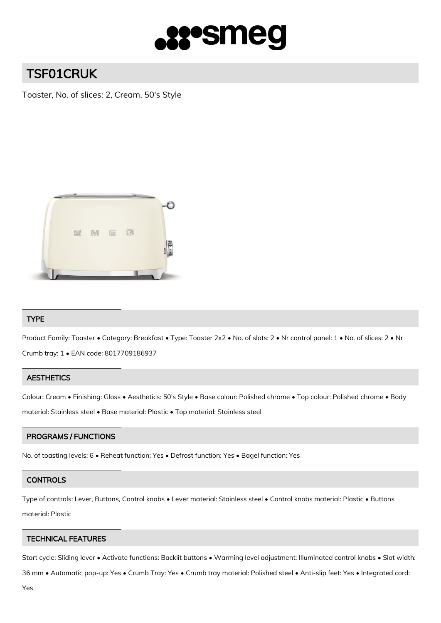

# TSF01CRUK

Toaster, No. of slices: 2, Cream, 50's Style



# TYPE

Product Family: Toaster • Category: Breakfast • Type: Toaster 2x2 • No. of slots: 2 • Nr control panel: 1 • No. of slices: 2 • Nr Crumb tray: 1 • EAN code: 8017709186937

## **AESTHETICS**

Colour: Cream • Finishing: Gloss • Aesthetics: 50's Style • Base colour: Polished chrome • Top colour: Polished chrome • Body material: Stainless steel • Base material: Plastic • Top material: Stainless steel

## PROGRAMS / FUNCTIONS

No. of toasting levels: 6 • Reheat function: Yes • Defrost function: Yes • Bagel function: Yes

## **CONTROLS**

Type of controls: Lever, Buttons, Control knobs • Lever material: Stainless steel • Control knobs material: Plastic • Buttons material: Plastic

#### TECHNICAL FEATURES

Start cycle: Sliding lever • Activate functions: Backlit buttons • Warming level adjustment: Illuminated control knobs • Slot width:

36 mm • Automatic pop-up: Yes • Crumb Tray: Yes • Crumb tray material: Polished steel • Anti-slip feet: Yes • Integrated cord: